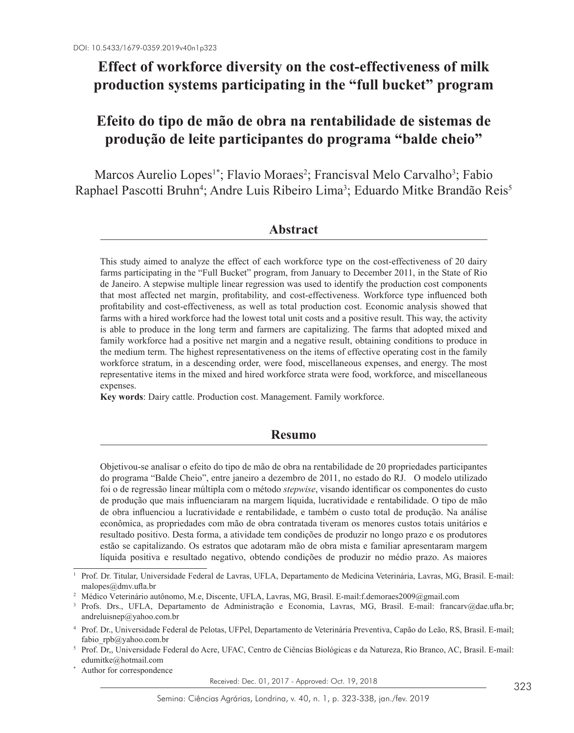# **Effect of workforce diversity on the cost-effectiveness of milk production systems participating in the "full bucket" program**

# **Efeito do tipo de mão de obra na rentabilidade de sistemas de produção de leite participantes do programa "balde cheio"**

Marcos Aurelio Lopes<sup>1\*</sup>; Flavio Moraes<sup>2</sup>; Francisval Melo Carvalho<sup>3</sup>; Fabio Raphael Pascotti Bruhn<sup>4</sup>; Andre Luis Ribeiro Lima<sup>3</sup>; Eduardo Mitke Brandão Reis<sup>5</sup>

### **Abstract**

This study aimed to analyze the effect of each workforce type on the cost-effectiveness of 20 dairy farms participating in the "Full Bucket" program, from January to December 2011, in the State of Rio de Janeiro. A stepwise multiple linear regression was used to identify the production cost components that most affected net margin, profitability, and cost-effectiveness. Workforce type influenced both profitability and cost-effectiveness, as well as total production cost. Economic analysis showed that farms with a hired workforce had the lowest total unit costs and a positive result. This way, the activity is able to produce in the long term and farmers are capitalizing. The farms that adopted mixed and family workforce had a positive net margin and a negative result, obtaining conditions to produce in the medium term. The highest representativeness on the items of effective operating cost in the family workforce stratum, in a descending order, were food, miscellaneous expenses, and energy. The most representative items in the mixed and hired workforce strata were food, workforce, and miscellaneous expenses.

**Key words**: Dairy cattle. Production cost. Management. Family workforce.

## **Resumo**

Objetivou-se analisar o efeito do tipo de mão de obra na rentabilidade de 20 propriedades participantes do programa "Balde Cheio", entre janeiro a dezembro de 2011, no estado do RJ. O modelo utilizado foi o de regressão linear múltipla com o método *stepwise*, visando identificar os componentes do custo de produção que mais influenciaram na margem líquida, lucratividade e rentabilidade. O tipo de mão de obra influenciou a lucratividade e rentabilidade, e também o custo total de produção. Na análise econômica, as propriedades com mão de obra contratada tiveram os menores custos totais unitários e resultado positivo. Desta forma, a atividade tem condições de produzir no longo prazo e os produtores estão se capitalizando. Os estratos que adotaram mão de obra mista e familiar apresentaram margem líquida positiva e resultado negativo, obtendo condições de produzir no médio prazo. As maiores

Received: Dec. 01, 2017 - Approved: Oct. 19, 2018

<sup>1</sup> Prof. Dr. Titular, Universidade Federal de Lavras, UFLA, Departamento de Medicina Veterinária, Lavras, MG, Brasil. E-mail: malopes@dmv.ufla.br

<sup>2</sup> Médico Veterinário autônomo, M.e, Discente, UFLA, Lavras, MG, Brasil. E-mail:f.demoraes2009@gmail.com

Profs. Drs., UFLA, Departamento de Administração e Economia, Lavras, MG, Brasil. E-mail: francarv@dae.ufla.br; andreluisnep@yahoo.com.br

<sup>4</sup>Prof. Dr., Universidade Federal de Pelotas, UFPel, Departamento de Veterinária Preventiva, Capão do Leão, RS, Brasil. E-mail; fabio\_rpb@yahoo.com.br

<sup>5</sup> Prof. Dr,, Universidade Federal do Acre, UFAC, Centro de Ciências Biológicas e da Natureza, Rio Branco, AC, Brasil. E-mail: edumitke@hotmail.com

Author for correspondence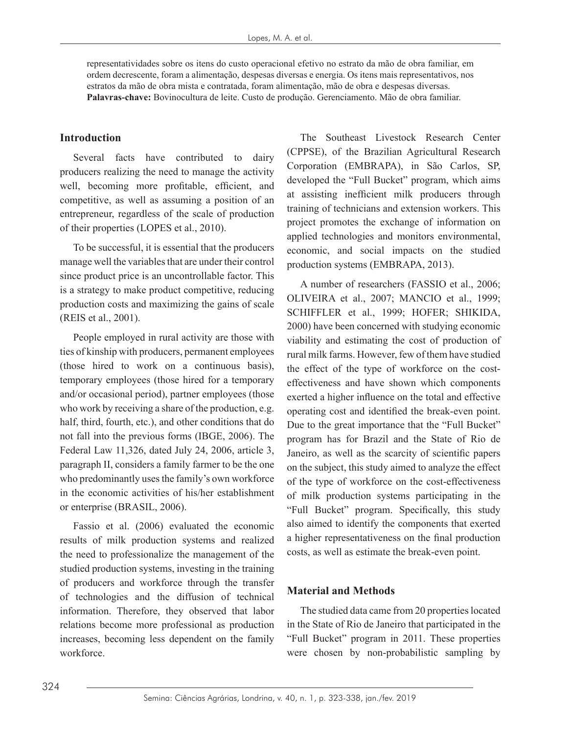representatividades sobre os itens do custo operacional efetivo no estrato da mão de obra familiar, em ordem decrescente, foram a alimentação, despesas diversas e energia. Os itens mais representativos, nos estratos da mão de obra mista e contratada, foram alimentação, mão de obra e despesas diversas. **Palavras-chave:** Bovinocultura de leite. Custo de produção. Gerenciamento. Mão de obra familiar.

#### **Introduction**

Several facts have contributed to dairy producers realizing the need to manage the activity well, becoming more profitable, efficient, and competitive, as well as assuming a position of an entrepreneur, regardless of the scale of production of their properties (LOPES et al., 2010).

To be successful, it is essential that the producers manage well the variables that are under their control since product price is an uncontrollable factor. This is a strategy to make product competitive, reducing production costs and maximizing the gains of scale (REIS et al., 2001).

People employed in rural activity are those with ties of kinship with producers, permanent employees (those hired to work on a continuous basis), temporary employees (those hired for a temporary and/or occasional period), partner employees (those who work by receiving a share of the production, e.g. half, third, fourth, etc.), and other conditions that do not fall into the previous forms (IBGE, 2006). The Federal Law 11,326, dated July 24, 2006, article 3, paragraph II, considers a family farmer to be the one who predominantly uses the family's own workforce in the economic activities of his/her establishment or enterprise (BRASIL, 2006).

Fassio et al. (2006) evaluated the economic results of milk production systems and realized the need to professionalize the management of the studied production systems, investing in the training of producers and workforce through the transfer of technologies and the diffusion of technical information. Therefore, they observed that labor relations become more professional as production increases, becoming less dependent on the family workforce.

The Southeast Livestock Research Center (CPPSE), of the Brazilian Agricultural Research Corporation (EMBRAPA), in São Carlos, SP, developed the "Full Bucket" program, which aims at assisting inefficient milk producers through training of technicians and extension workers. This project promotes the exchange of information on applied technologies and monitors environmental, economic, and social impacts on the studied production systems (EMBRAPA, 2013).

A number of researchers (FASSIO et al., 2006; OLIVEIRA et al., 2007; MANCIO et al., 1999; SCHIFFLER et al., 1999; HOFER; SHIKIDA, 2000) have been concerned with studying economic viability and estimating the cost of production of rural milk farms. However, few of them have studied the effect of the type of workforce on the costeffectiveness and have shown which components exerted a higher influence on the total and effective operating cost and identified the break-even point. Due to the great importance that the "Full Bucket" program has for Brazil and the State of Rio de Janeiro, as well as the scarcity of scientific papers on the subject, this study aimed to analyze the effect of the type of workforce on the cost-effectiveness of milk production systems participating in the "Full Bucket" program. Specifically, this study also aimed to identify the components that exerted a higher representativeness on the final production costs, as well as estimate the break-even point.

#### **Material and Methods**

The studied data came from 20 properties located in the State of Rio de Janeiro that participated in the "Full Bucket" program in 2011. These properties were chosen by non-probabilistic sampling by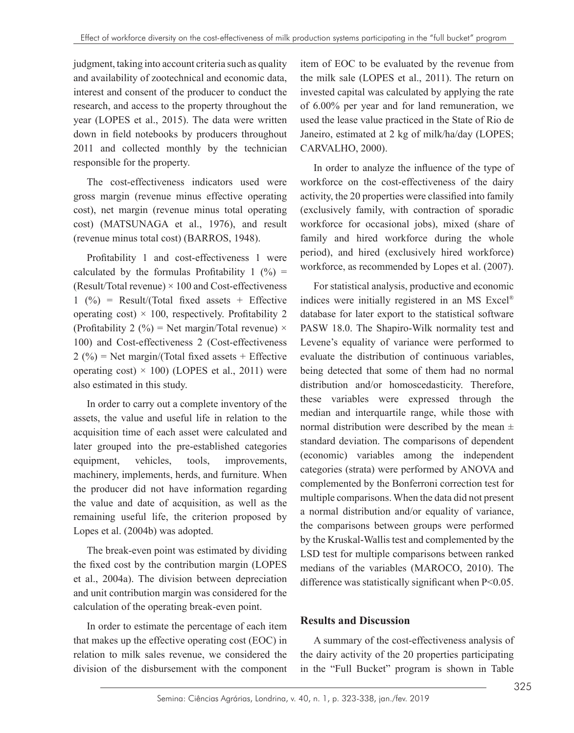judgment, taking into account criteria such as quality and availability of zootechnical and economic data, interest and consent of the producer to conduct the research, and access to the property throughout the year (LOPES et al., 2015). The data were written down in field notebooks by producers throughout 2011 and collected monthly by the technician responsible for the property.

The cost-effectiveness indicators used were gross margin (revenue minus effective operating cost), net margin (revenue minus total operating cost) (MATSUNAGA et al., 1976), and result (revenue minus total cost) (BARROS, 1948).

Profitability 1 and cost-effectiveness 1 were calculated by the formulas Profitability 1  $(\%)$  = (Result/Total revenue)  $\times$  100 and Cost-effectiveness  $1$  (%) = Result/(Total fixed assets + Effective operating cost)  $\times$  100, respectively. Profitability 2 (Profitability 2 (%) = Net margin/Total revenue)  $\times$ 100) and Cost-effectiveness 2 (Cost-effectiveness  $2$  (%) = Net margin/(Total fixed assets + Effective operating cost)  $\times$  100) (LOPES et al., 2011) were also estimated in this study.

In order to carry out a complete inventory of the assets, the value and useful life in relation to the acquisition time of each asset were calculated and later grouped into the pre-established categories equipment, vehicles, tools, improvements, machinery, implements, herds, and furniture. When the producer did not have information regarding the value and date of acquisition, as well as the remaining useful life, the criterion proposed by Lopes et al. (2004b) was adopted.

The break-even point was estimated by dividing the fixed cost by the contribution margin (LOPES et al., 2004a). The division between depreciation and unit contribution margin was considered for the calculation of the operating break-even point.

In order to estimate the percentage of each item that makes up the effective operating cost (EOC) in relation to milk sales revenue, we considered the division of the disbursement with the component item of EOC to be evaluated by the revenue from the milk sale (LOPES et al., 2011). The return on invested capital was calculated by applying the rate of 6.00% per year and for land remuneration, we used the lease value practiced in the State of Rio de Janeiro, estimated at 2 kg of milk/ha/day (LOPES; CARVALHO, 2000).

In order to analyze the influence of the type of workforce on the cost-effectiveness of the dairy activity, the 20 properties were classified into family (exclusively family, with contraction of sporadic workforce for occasional jobs), mixed (share of family and hired workforce during the whole period), and hired (exclusively hired workforce) workforce, as recommended by Lopes et al. (2007).

For statistical analysis, productive and economic indices were initially registered in an MS Excel® database for later export to the statistical software PASW 18.0. The Shapiro-Wilk normality test and Levene's equality of variance were performed to evaluate the distribution of continuous variables, being detected that some of them had no normal distribution and/or homoscedasticity. Therefore, these variables were expressed through the median and interquartile range, while those with normal distribution were described by the mean  $\pm$ standard deviation. The comparisons of dependent (economic) variables among the independent categories (strata) were performed by ANOVA and complemented by the Bonferroni correction test for multiple comparisons. When the data did not present a normal distribution and/or equality of variance, the comparisons between groups were performed by the Kruskal-Wallis test and complemented by the LSD test for multiple comparisons between ranked medians of the variables (MAROCO, 2010). The difference was statistically significant when  $P<0.05$ .

### **Results and Discussion**

A summary of the cost-effectiveness analysis of the dairy activity of the 20 properties participating in the "Full Bucket" program is shown in Table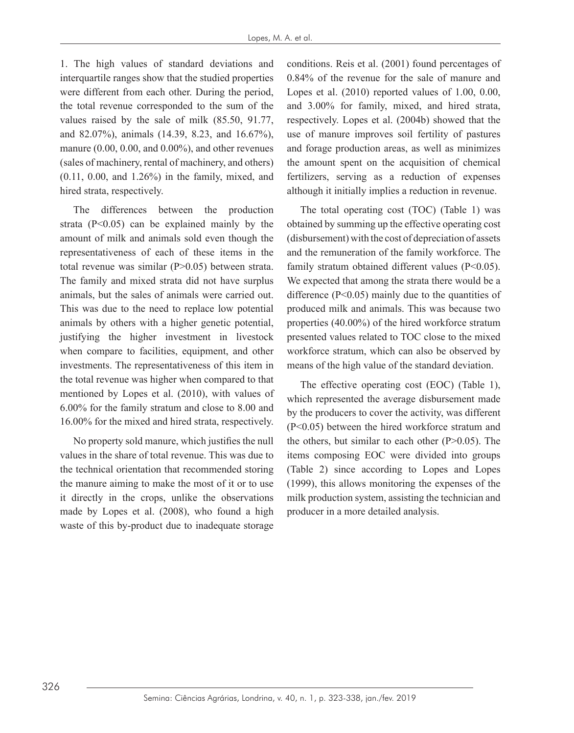1. The high values of standard deviations and interquartile ranges show that the studied properties were different from each other. During the period, the total revenue corresponded to the sum of the values raised by the sale of milk (85.50, 91.77, and 82.07%), animals (14.39, 8.23, and 16.67%), manure (0.00, 0.00, and 0.00%), and other revenues (sales of machinery, rental of machinery, and others) (0.11, 0.00, and 1.26%) in the family, mixed, and hired strata, respectively.

The differences between the production strata  $(P<0.05)$  can be explained mainly by the amount of milk and animals sold even though the representativeness of each of these items in the total revenue was similar (P>0.05) between strata. The family and mixed strata did not have surplus animals, but the sales of animals were carried out. This was due to the need to replace low potential animals by others with a higher genetic potential, justifying the higher investment in livestock when compare to facilities, equipment, and other investments. The representativeness of this item in the total revenue was higher when compared to that mentioned by Lopes et al. (2010), with values of 6.00% for the family stratum and close to 8.00 and 16.00% for the mixed and hired strata, respectively.

No property sold manure, which justifies the null values in the share of total revenue. This was due to the technical orientation that recommended storing the manure aiming to make the most of it or to use it directly in the crops, unlike the observations made by Lopes et al. (2008), who found a high waste of this by-product due to inadequate storage conditions. Reis et al. (2001) found percentages of 0.84% of the revenue for the sale of manure and Lopes et al. (2010) reported values of 1.00, 0.00, and 3.00% for family, mixed, and hired strata, respectively. Lopes et al. (2004b) showed that the use of manure improves soil fertility of pastures and forage production areas, as well as minimizes the amount spent on the acquisition of chemical fertilizers, serving as a reduction of expenses although it initially implies a reduction in revenue.

The total operating cost (TOC) (Table 1) was obtained by summing up the effective operating cost (disbursement) with the cost of depreciation of assets and the remuneration of the family workforce. The family stratum obtained different values (P<0.05). We expected that among the strata there would be a difference  $(P<0.05)$  mainly due to the quantities of produced milk and animals. This was because two properties (40.00%) of the hired workforce stratum presented values related to TOC close to the mixed workforce stratum, which can also be observed by means of the high value of the standard deviation.

The effective operating cost (EOC) (Table 1), which represented the average disbursement made by the producers to cover the activity, was different (P<0.05) between the hired workforce stratum and the others, but similar to each other  $(P>0.05)$ . The items composing EOC were divided into groups (Table 2) since according to Lopes and Lopes (1999), this allows monitoring the expenses of the milk production system, assisting the technician and producer in a more detailed analysis.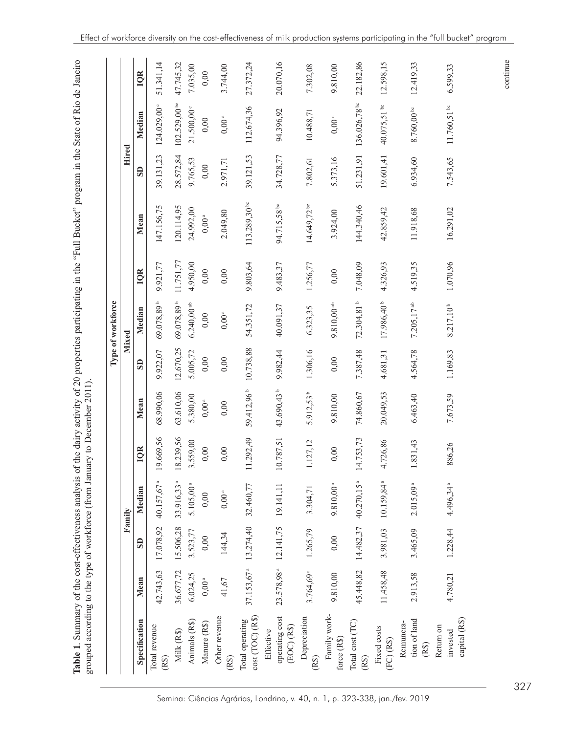| יט שוניי<br>- mand lul low-                                                                                                                                                                                      |                                                                                                        |
|------------------------------------------------------------------------------------------------------------------------------------------------------------------------------------------------------------------|--------------------------------------------------------------------------------------------------------|
| $\frac{1}{2}$ in the "Full Bucket" process in the State of Dic $\frac{1}{4}$<br>$-1$ d $-1$<br>$+$ $11$ nronartiae n<br>$\frac{1}{2}$<br>י יי בי<br>ד<br>an or rinn mar i ner<br>t<br>c<br>١<br>י<br>ו<br>i<br>i | l<br>l<br>č<br>ו<br>ג<br>-<br><<br>$+ 7 - 7 - 7 - 7 - 7$<br>ś<br>$\overline{\phantom{a}}$<br>くちょう<br>l |
| İ                                                                                                                                                                                                                |                                                                                                        |

|                                           |                   |                                             |                                 |           |                        |                         | Type of workforce        |           |                         |                         |                   |            |
|-------------------------------------------|-------------------|---------------------------------------------|---------------------------------|-----------|------------------------|-------------------------|--------------------------|-----------|-------------------------|-------------------------|-------------------|------------|
|                                           |                   |                                             | Family                          |           |                        |                         | <b>Mixed</b>             |           |                         | Hired                   |                   |            |
| Specification                             | Mean              | SD                                          | Median                          | IQR       | Mean                   | $\overline{\mathbf{S}}$ | Median                   | IQR       | Mean                    | $\overline{\mathbf{s}}$ | Median            | <b>IQR</b> |
| Total revenue<br>(RS)                     | 42.743,63         | 17.078,92                                   | 40.157,67 <sup>a</sup>          | 19.669,56 | 68.990,06              | 9.922,07                | 69.078,89 <sup>b</sup>   | 9.921,77  | 147.156,75              | 39.131,23               | 124.029,00°       | 51.341,14  |
| Milk (R\$)                                | 36.677,72         | 15.506,28                                   | 33.916,33 <sup>a</sup>          | 18.239,56 | 63.610,06              | 12.670,25               | 69.078,89 <sup>b</sup>   | 11.751,77 | 120.114,95              | 28.572,84               | 102.529,00bc      | 47.745,32  |
| Animals (R\$)                             | 6.024,25          | 3.523,77                                    | $5.105,00^{a}$                  | 3.559,00  | 5.380,00               | 5.005,72                | $6.240,00$ <sup>ab</sup> | 4.950,00  | 24.992,00               | 9.765,53                | 21.500,00°        | 7.035,00   |
| Manure (R\$)                              | $0,00$ $^{\rm a}$ | $0,00$                                      | $0,00$                          | 0,00      | $0,00$ $^{\rm a}$      | 0,00                    | $0,00$                   | 0,00      | $0,00$ $^{\rm a}$       | 0,00                    | 0,00              | 0,00       |
| Other revenue<br>(RS)                     | 41,67             | 144,34                                      | $0,00$ $^{\rm a}$               | 0,00      | $0,00$                 | 0,00                    | $0,00\,^{\rm a}$         | 0,00      | 2.049,80                | 2.971,71                | $0,00$ $^{\rm a}$ | 3.744,00   |
| cost (TOC) (R\$)<br>Total operating       |                   | $37.153,67^{\circ}$ $13.274,40$ $32.460,77$ |                                 | 11.292,49 | 59.412,96 <sup>b</sup> | 10.738,88               | 54.351,72                | 9.803,64  | 113.289,30bc            | 39.121,53               | 112.674,36        | 27.372,24  |
| operating cost<br>(EOC) (RS)<br>Effective |                   | 23.578,98 <sup>a</sup> 12.141,75 19.141,11  |                                 | 10.787,51 | 43.690,43 <sup>b</sup> | 9.982,44                | 40.091,37                | 9.483,37  | 94.715,58 bc            | 34.728,77               | 94.396,92         | 20.070,16  |
| Depreciation<br>(R\$)                     | 3.764,69ª         | 1.265,79                                    | 3.304,71                        | 1.127,12  | 5.912,53 <sup>b</sup>  | 1.306,16                | 6.323,35                 | 1.256,77  | 14.649,72 <sup>bc</sup> | 7.802,61                | 10.488,71         | 7.302,08   |
| Family work-<br>force (R\$)               | 9.810,00          | 0,00                                        | 9.810,00 <sup>a</sup>           | 0,00      | 9.810,00               | 0,00                    | $9.810,00$ <sup>ab</sup> | 0,00      | 3.924,00                | 5.373,16                | $0,00\,^{\circ}$  | 9.810,00   |
| Total cost (TC)<br>$(R\mathcal{S})$       |                   | 45.448,82 14.482,37 40.270,15 <sup>a</sup>  |                                 | 14.753,73 | 74.860,67              | 7.387,48                | 72.304,81 <sup>b</sup>   | 7.048,09  | 144.340,46              | 51.231,91               | 136.026,78 bc     | 22.182,86  |
| Fixed costs<br>$(FC)$ $(RS)$              | 11.458,48         |                                             | 3.981,03 10.159,84 <sup>a</sup> | 4.726,86  | 20.049,53              | 4.681,31                | 17.986,40 <sup>b</sup>   | 4.326,93  | 42.859,42               | 19.601,41               | $40.075,51$ bc    | 12.598,15  |
| tion of land<br>Remunera-<br>(RS)         | 2.913,58          | 3.465,09                                    | 2.015,09 <sup>a</sup>           | 1.831,43  | 6.463,40               | 4.564,78                | $7.205,17^{ab}$          | 4.519,35  | 11.918,68               | 6.934,60                | $8.760,00$ bc     | 12.419,33  |
| capital (R\$)<br>Return on<br>invested    | 4.780,21          | 1.228,44                                    | 4.496,34 <sup>a</sup>           | 886,26    | 7.673,59               | 1.169,83                | 8.217,10 <sup>b</sup>    | 1.070,96  | 16.291,02               | 7.543,65                | 11.760,51 bc      | 6.599,33   |

continue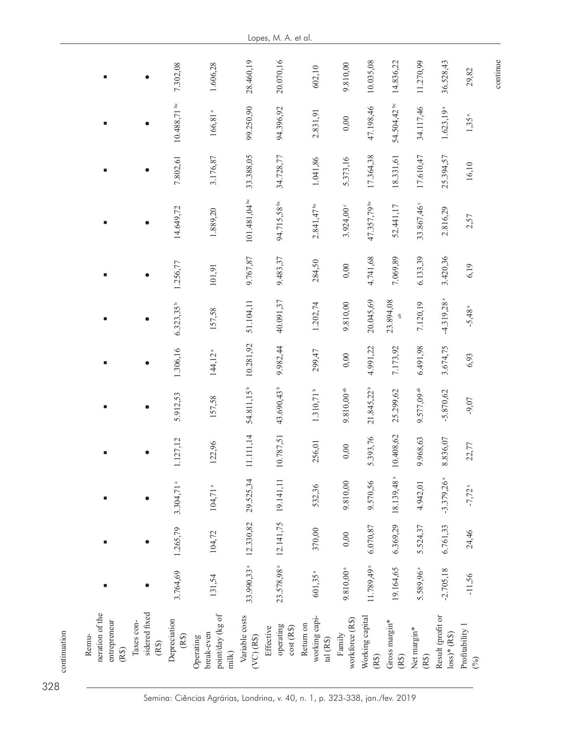|              | $\blacksquare$                                               |                                     | 7.302,08              | 1.606,28                                             | 28.460,19                       | 20.070,16                            | 602,10                                  | 9.810,00                  | 10.035,08               | 14.836,22                | 11.270,99                       | 36.528,43                            | 29,82                  | continue |
|--------------|--------------------------------------------------------------|-------------------------------------|-----------------------|------------------------------------------------------|---------------------------------|--------------------------------------|-----------------------------------------|---------------------------|-------------------------|--------------------------|---------------------------------|--------------------------------------|------------------------|----------|
|              | ш                                                            |                                     | 10.488,71 bc          | $166, 81^{a}$                                        | 99.250,90                       | 94.396,92                            | 2.831,91                                | 0,00                      | 47.198,46               | 54.504,42 bc             | 34.117,46                       | 1.623, 19 <sup>a</sup>               | $1,35^{a}$             |          |
|              | ٠                                                            |                                     | 7.802,61              | 3.176,87                                             | 33.388,05                       | 34.728,77                            | 1.041,86                                | 5.373,16                  | 17.364,38               | 18.331,61                | 17.610,47                       | 25.394,57                            | 16,10                  |          |
|              |                                                              |                                     | 14.649,72             | 1.889,20                                             | 101.481,04 <sup>bc</sup>        | 94.715,58 bc                         | $2.841,47^{\circ}$                      | 3.924,00°                 | 47.357,79 bc            | 52.441,17                | 33.867,46°                      | 2.816,29                             | 2,57                   |          |
|              | п                                                            | $\bullet$                           | 1.256,77              | 101,91                                               | 9.767,87                        | 9.483,37                             | 284,50                                  | $0.00\,$                  | 4.741,68                | 7.069,89                 | 6.133,39                        | 3.420,36                             | 6,19                   |          |
|              | п                                                            |                                     | $6.323,35^b$          | 157,58                                               | 51.104,11                       | 40.091,37                            | 1.202,74                                | 9.810,00                  | 20.045,69               | 23.894,08<br>$_{\rm a}$  | 7.120,19                        | $-4.319,28a$                         | $-5,48^{\circ}$        |          |
|              |                                                              |                                     | 1.306,16              | 144,12 <sup>a</sup>                                  | 10.281,92                       | 9.982,44                             | 299,47                                  | 0,00                      | 4.991,22                | 7.173,92                 | 6.491,98                        | 3.674,75                             | 6,93                   |          |
|              | ш                                                            |                                     | 5.912,53              | 157,58                                               | 54.811,15 <sup>b</sup>          | 43.690,43 <sup>b</sup>               | $1.310,71^b$                            | $9.810,00$ <sup>ab</sup>  | 21.845,22 <sup>b</sup>  | 25.299,62                | $9.577,09^{ab}$                 | $-5.870,62$                          | $-9,07$                |          |
|              | ×,                                                           |                                     | 1.127,12              | 122,96                                               | 11.111,14                       | 10.787,51                            | 256,01                                  | 0,00                      | 5.393,76                | 10.408,62                | 9.968,63                        | 8.836,07                             | 22,77                  |          |
|              | ш                                                            |                                     | 3.304,71 <sup>a</sup> | $104,71$ <sup>a</sup>                                | 29.525,34                       | 19.141,11                            | 532,36                                  | 9.810,00                  | 9.570,56                | $18.139,48$ <sup>a</sup> | 4.942,01                        | $-3.379,26$ <sup>a</sup>             | $-7,72^{\rm a}$        |          |
|              |                                                              |                                     | 1.265,79              | 104,72                                               | 12.330,82                       | 12.141,75                            | 370,00                                  | $0,00$                    | 6.070,87                | 6.369,29                 | 5.524,37                        | 6.761,33                             | 24,46                  |          |
|              | п                                                            |                                     | 3.764,69              | 131,54                                               | 33.990,33 <sup>a</sup>          | 23.578,98 <sup>a</sup>               | 601,35 <sup>a</sup>                     | 9.810,00 <sup>a</sup>     | 11.789,49 <sup>a</sup>  | 19.164,65                | 5.589,96 <sup>a</sup>           | $-2.705,18$                          | $-11,56$               |          |
| continuation | neration of the<br>entrepreneur<br>Remu-<br>$(R\mathcal{S})$ | sidered fixed<br>Taxes con-<br>(RS) | Depreciation<br>(RS)  | point/day (kg of<br>break-even<br>Operating<br>milk) | Variable costs<br>$(VC)$ $(RS)$ | operating<br>cost (R\$)<br>Effective | working capi-<br>Return on<br>tal $(R\$ | workforce (R\$)<br>Family | Working capital<br>(RS) | Gross margin*<br>(RS)    | Net margin*<br>$(R\mathcal{S})$ | Result (profit or<br>$loss)*$ $(RS)$ | Profitability 1<br>(%) |          |

328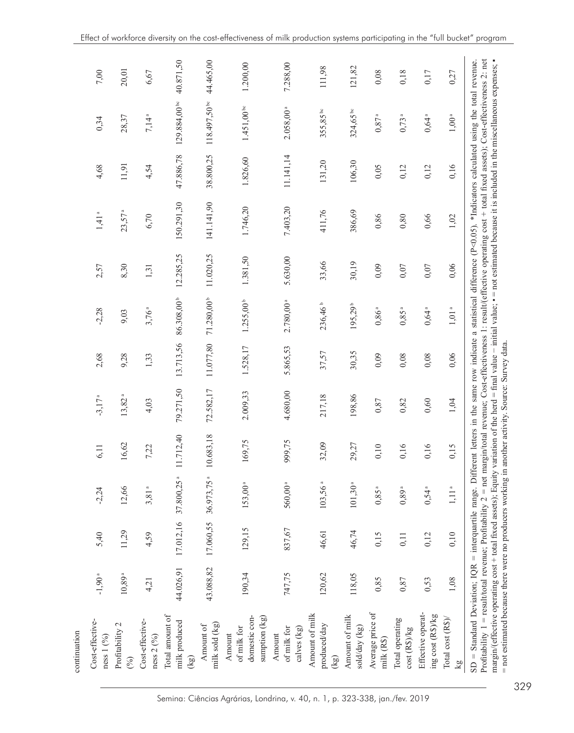| continuation                                                                                                                                                                                                                                                                                                                                                                                                                                                                                                     |                     |        |                                    |           |                 |           |                        |           |                                                                                                                                                                              |           |                           |           |
|------------------------------------------------------------------------------------------------------------------------------------------------------------------------------------------------------------------------------------------------------------------------------------------------------------------------------------------------------------------------------------------------------------------------------------------------------------------------------------------------------------------|---------------------|--------|------------------------------------|-----------|-----------------|-----------|------------------------|-----------|------------------------------------------------------------------------------------------------------------------------------------------------------------------------------|-----------|---------------------------|-----------|
| Cost-effective-<br>ness $1(%)$                                                                                                                                                                                                                                                                                                                                                                                                                                                                                   | $-1,90a$            | 5,40   | $-2,24$                            | 6,11      | $-3,17a$        | 2,68      | $-2,28$                | 2,57      | $\approx$<br>$\frac{1}{4}$                                                                                                                                                   | 4,68      | 0,34                      | 7,00      |
| Profitability 2<br>(%)                                                                                                                                                                                                                                                                                                                                                                                                                                                                                           | $10,\!89^{\rm \,a}$ | 11,29  | 12,66                              | 16,62     | $13,82^{\rm a}$ | 9,28      | 9,03                   | 8,30      | $23,57^{\rm a}$                                                                                                                                                              | 11,91     | 28,37                     | 20,01     |
| Cost-effective-<br>ness $2(%)$                                                                                                                                                                                                                                                                                                                                                                                                                                                                                   | 4,21                | 4,59   | $3,81$ <sup>a</sup>                | 7,22      | 4,03            | 1,33      | $3,76$ <sup>a</sup>    | 1,31      | 6,70                                                                                                                                                                         | 4,54      | 7,14 <sup>a</sup>         | 6,67      |
| Total amount of<br>milk produced<br>$\left(\frac{1}{2}\right)$                                                                                                                                                                                                                                                                                                                                                                                                                                                   | 44.026.91           |        | $17.012,16$ 37.800,25 <sup>a</sup> | 11.712,40 | 79.271,50       | 13.713,56 | 86.308,00 <sup>b</sup> | 12.285,25 | 150.291,30                                                                                                                                                                   | 47.886,78 | 129.884,00 <sup>bc</sup>  | 40.871,50 |
| milk sold (kg)<br>Amount of                                                                                                                                                                                                                                                                                                                                                                                                                                                                                      | 43.088,82           |        | 17.060,55 36.973,75 <sup>a</sup>   | 10.683,18 | 72.582,17       | 11.077,80 | 71.280,00 <sup>b</sup> | 11.020,25 | 141.141,90                                                                                                                                                                   | 38.800,25 | 118.497,50 <sup>bc</sup>  | 44.465,00 |
| domestic con-<br>sumption (kg)<br>of milk for<br>Amount                                                                                                                                                                                                                                                                                                                                                                                                                                                          | 190,34              | 129,15 | 153,00 <sup>a</sup>                | 169,75    | 2.009,33        | 1.528,17  | 1.255,00 <sup>b</sup>  | 1.381,50  | 1.746,20                                                                                                                                                                     | 1.826,60  | 1.451,00 bc               | 1.200,00  |
| of milk for<br>calves (kg)<br>Amount                                                                                                                                                                                                                                                                                                                                                                                                                                                                             | 747,75              | 837,67 | 560,00ª                            | 999,75    | 4.680,00        | 5.865,53  | 2.780,00 <sup>a</sup>  | 5.630,00  | 7.403,20                                                                                                                                                                     | 11.141,14 | 2.058,00 <sup>a</sup>     | 7.288,00  |
| Amount of milk<br>produced/day<br>(kg)                                                                                                                                                                                                                                                                                                                                                                                                                                                                           | 120,62              | 46,61  | 103,56 <sup>a</sup>                | 32,09     | 217,18          | 37,57     | 236,46 <sup>b</sup>    | 33,66     | 411,76                                                                                                                                                                       | 131,20    | 355,85 bc                 | 111,98    |
| Amount of milk<br>sold/day (kg)                                                                                                                                                                                                                                                                                                                                                                                                                                                                                  | 118,05              | 46,74  | 101,30 <sup>a</sup>                | 29,27     | 198,86          | 30,35     | 195,29 <sup>b</sup>    | 30,19     | 386,69                                                                                                                                                                       | 106,30    | 324,65 bc                 | 121,82    |
| Average price of<br>milk (R\$)                                                                                                                                                                                                                                                                                                                                                                                                                                                                                   | 0,85                | 0,15   | $0,85$ <sup>a</sup>                | 0,10      | 0,87            | 0,09      | $0,86^{a}$             | 0,09      | 0,86                                                                                                                                                                         | 0,05      | $0,87$ <sup>a</sup>       | 0,08      |
| Total operating<br>cost (R\$)/kg                                                                                                                                                                                                                                                                                                                                                                                                                                                                                 | 0,87                | 0,11   | $0,89^{\rm a}$                     | 0,16      | 0,82            | 0,08      | $0.85$ a               | 0,07      | 0,80                                                                                                                                                                         | 0,12      | $0,73$ <sup>a</sup>       | 0,18      |
| Effective operat-<br>ing cost (R\$)/kg                                                                                                                                                                                                                                                                                                                                                                                                                                                                           | 0,53                | 0,12   | $0,54^{\rm a}$                     | 0,16      | 0,60            | 0,08      | $0,64$ <sup>a</sup>    | 0,07      | 0,66                                                                                                                                                                         | 0,12      | $0,64$ <sup>a</sup>       | 0,17      |
| Total cost (R\$)<br>$\overline{\mathbf{g}}$                                                                                                                                                                                                                                                                                                                                                                                                                                                                      | 1,08                | 0,10   | 1,11 <sup>a</sup>                  | 0,15      | 1,04            | 0,06      | $1,01$ $^{\rm a}$      | 0,06      | 1,02                                                                                                                                                                         | 0,16      | $1,00\ensuremath{^\circ}$ | 0,27      |
| margin/(effective operating cost + total fixed assets); Equity variation of the herd = final value - initial value; • = not estimated because it is included in the miscellaneous expenses; •<br>Profitability $1 =$ result/total revenue; Profitability $2 =$ net margin/total revenue; Cost-effectiveness 1: result/(effective operating cost + total fixed assets); Cost-effectiveness 2: net<br>$=$ not estimated because there were no producers working in another activity. Source: Survey data<br>$SD =$ |                     |        |                                    |           |                 |           |                        |           | Standard Deviation; IQR = interquartile range. Different letters in the same row indicate a statistical difference (P<0.05). *Indicators calculated using the total revenue. |           |                           |           |

Semina: Ciências Agrárias, Londrina, v. 40, n. 1, p. 323-338, jan./fev. 2019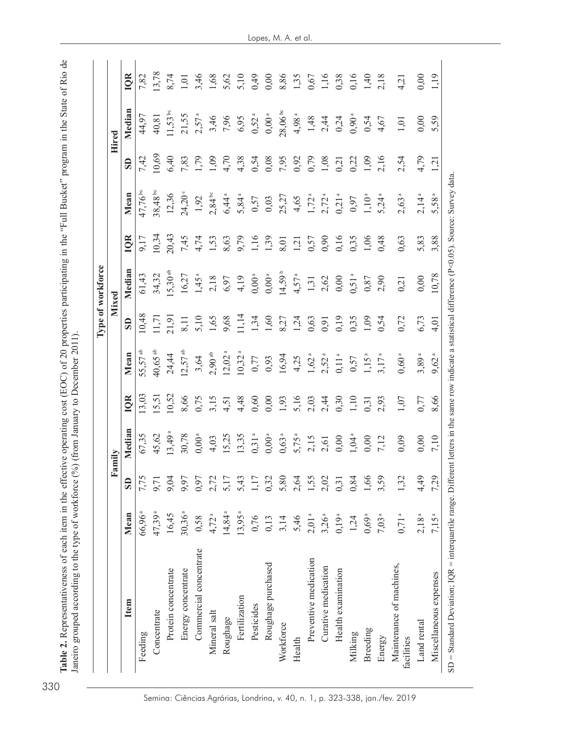| ud∽:                               |                           |
|------------------------------------|---------------------------|
|                                    |                           |
| $50<\infty$<br>í                   |                           |
| )<br>}<br>}                        |                           |
|                                    |                           |
| $\frac{1}{2}$                      |                           |
|                                    |                           |
| $\tau$ rin 1<br>י<br>ני<br>;<br><  |                           |
|                                    |                           |
| $\mathbf{r}$                       |                           |
|                                    |                           |
|                                    |                           |
| Ĭ                                  |                           |
|                                    |                           |
| l                                  |                           |
|                                    |                           |
|                                    |                           |
|                                    |                           |
| ינו טוני<br>י<br>$0.45$ and $0.45$ | $\frac{1}{2}$             |
|                                    |                           |
| コンパリー                              |                           |
|                                    |                           |
|                                    |                           |
|                                    | ֦֧֢֦֧֢֦֧֚֚֬֝              |
| )<br>Popo                          |                           |
|                                    |                           |
|                                    |                           |
|                                    |                           |
|                                    |                           |
|                                    |                           |
|                                    |                           |
| ;<br>;<br>)<br>ć                   | $\mathcal{\widetilde{S}}$ |
|                                    |                           |
|                                    |                           |
|                                    |                           |
|                                    |                           |
|                                    |                           |
|                                    |                           |
|                                    |                           |
|                                    |                           |
|                                    |                           |
|                                    |                           |
|                                    |                           |
|                                    | i                         |
|                                    |                           |
|                                    |                           |
|                                    |                           |
|                                    |                           |
| ļ                                  |                           |
|                                    |                           |
| ا                                  | こうしょうこう こうこう              |

|                                                                                                                                                       |                     |                         |                            |            |                                                                                                                                                      | Type of workforce                                                                                                                                                                                    |              |                                                                                                                                                 |                |                                                                                                                                                                                                                                                         |                |
|-------------------------------------------------------------------------------------------------------------------------------------------------------|---------------------|-------------------------|----------------------------|------------|------------------------------------------------------------------------------------------------------------------------------------------------------|------------------------------------------------------------------------------------------------------------------------------------------------------------------------------------------------------|--------------|-------------------------------------------------------------------------------------------------------------------------------------------------|----------------|---------------------------------------------------------------------------------------------------------------------------------------------------------------------------------------------------------------------------------------------------------|----------------|
|                                                                                                                                                       |                     |                         | Family                     |            |                                                                                                                                                      | <b>Mixed</b>                                                                                                                                                                                         |              |                                                                                                                                                 |                | <b>Hired</b>                                                                                                                                                                                                                                            |                |
| Item                                                                                                                                                  | Mean                | $\overline{\mathbf{S}}$ | Median                     | <b>EQR</b> | Mean                                                                                                                                                 | Mediar                                                                                                                                                                                               | <b>EQR</b>   | Mean                                                                                                                                            | $\mathbf{S}$   | Median                                                                                                                                                                                                                                                  | $\mathfrak{S}$ |
| Feeding                                                                                                                                               | 66,96ª              | 7,75                    | 67,35                      | 13,03      | $55,57$ <sup>ab</sup>                                                                                                                                | 61,43                                                                                                                                                                                                |              | $17,76$ <sup>bc</sup>                                                                                                                           |                | 44,97                                                                                                                                                                                                                                                   | 7,82           |
| Concentrate                                                                                                                                           | $47,39^{\rm a}$     | 9,71                    | 45,62                      | .5,51      | $10,65$ <sup>ab</sup>                                                                                                                                | 34,32                                                                                                                                                                                                |              | $8,48^{\circ}$                                                                                                                                  | $7,42$<br>0,69 |                                                                                                                                                                                                                                                         | 13,78          |
| Protein concentrate                                                                                                                                   | 16,45               | 9,04                    |                            | 0,52       |                                                                                                                                                      |                                                                                                                                                                                                      |              |                                                                                                                                                 |                |                                                                                                                                                                                                                                                         |                |
| Energy concentrate                                                                                                                                    | $30,36^{a}$         | 9,97                    |                            |            |                                                                                                                                                      |                                                                                                                                                                                                      |              |                                                                                                                                                 |                |                                                                                                                                                                                                                                                         |                |
| Commercial concentrate                                                                                                                                | 0,58                | 0,97                    |                            |            | $24,44$<br>$12,57$ <sup>ab</sup><br>$3,64$<br>$10,32$ <sup>a</sup><br>$10,32$<br>$10,32$<br>$1,62$<br>$1,62$<br>$1,15$<br>$1,15$<br>$1,15$<br>$1,15$ |                                                                                                                                                                                                      |              | 12,36<br>24,20<br>1,92<br>5,84 <sup>a</sup><br>5,84 <sup>a</sup><br>5,57<br>5,21<br>5,24 <sup>a</sup><br>5,24 <sup>a</sup><br>5,24 <sup>a</sup> |                | $40,81$<br>11,53 <sup>b</sup> , 5,57 <sup>a</sup> , 6,95 c, 6,95 a, 9,98 a, 9,8 a, 4 d, 9,95 d, 6,98 a, 4 d, 9,95 d, 6,66<br>11,53 b, 6,95 c, 6,98 a, 9,8 a, 4 d, 9,95 d, 6,66<br>12,53 b,65 c,66 e,66 e,66 e,66 c,66 e,66 c,66 d,66 c,66 d,66 c,66 d,6 |                |
| Mineral salt                                                                                                                                          | $4,72^{\mathrm{a}}$ | 2,72                    |                            |            |                                                                                                                                                      |                                                                                                                                                                                                      |              |                                                                                                                                                 |                |                                                                                                                                                                                                                                                         |                |
| Roughage                                                                                                                                              | $14,84^{\rm a}$     | 5,17                    |                            |            |                                                                                                                                                      |                                                                                                                                                                                                      |              |                                                                                                                                                 |                |                                                                                                                                                                                                                                                         |                |
| Fertilization                                                                                                                                         | $13,95^{a}$         | 5,43                    |                            |            |                                                                                                                                                      |                                                                                                                                                                                                      |              |                                                                                                                                                 |                |                                                                                                                                                                                                                                                         |                |
| Pesticides                                                                                                                                            | 0,76                | 1,17                    |                            |            |                                                                                                                                                      |                                                                                                                                                                                                      |              |                                                                                                                                                 |                |                                                                                                                                                                                                                                                         |                |
| Roughage purchased                                                                                                                                    | 0,13                | 0,32                    |                            |            |                                                                                                                                                      |                                                                                                                                                                                                      |              |                                                                                                                                                 |                |                                                                                                                                                                                                                                                         |                |
| Workforce                                                                                                                                             | 3,14                | 5,80                    |                            |            |                                                                                                                                                      |                                                                                                                                                                                                      |              |                                                                                                                                                 |                |                                                                                                                                                                                                                                                         |                |
| Health                                                                                                                                                | 5,46                | 2,64                    |                            |            |                                                                                                                                                      |                                                                                                                                                                                                      |              |                                                                                                                                                 |                |                                                                                                                                                                                                                                                         |                |
| Preventive medication                                                                                                                                 | $2,01$ a            | 1,55                    |                            |            |                                                                                                                                                      |                                                                                                                                                                                                      |              |                                                                                                                                                 |                |                                                                                                                                                                                                                                                         |                |
| Curative medication                                                                                                                                   | $3,26^{\rm a}$      | 2,02                    |                            |            |                                                                                                                                                      |                                                                                                                                                                                                      |              |                                                                                                                                                 |                |                                                                                                                                                                                                                                                         |                |
| Health examination                                                                                                                                    | $0,19^{a}$          | 0,31                    |                            |            |                                                                                                                                                      |                                                                                                                                                                                                      |              |                                                                                                                                                 |                |                                                                                                                                                                                                                                                         |                |
| Milking                                                                                                                                               | 1,24                | 0,84                    |                            |            |                                                                                                                                                      |                                                                                                                                                                                                      |              |                                                                                                                                                 |                |                                                                                                                                                                                                                                                         |                |
| Breeding                                                                                                                                              | $0,69^{a}$          | 1,66                    |                            |            |                                                                                                                                                      |                                                                                                                                                                                                      |              |                                                                                                                                                 |                |                                                                                                                                                                                                                                                         |                |
| Energy                                                                                                                                                | $7,03$ <sup>a</sup> | 3,59                    |                            |            |                                                                                                                                                      |                                                                                                                                                                                                      |              |                                                                                                                                                 |                |                                                                                                                                                                                                                                                         |                |
| Maintenance of machines,<br>facilities                                                                                                                | $0.71$ a            | 1,32                    | $0,09$<br>$0,00$<br>$7,10$ |            | $0,60^{a}$                                                                                                                                           | 15,30 <sup>ab</sup><br>16,27<br>145 <sup>a</sup><br>14,57 <sup>a</sup><br>0,00 <sup>a</sup><br>0,00 <sup>a</sup><br>4,57 <sup>a</sup><br>2,000<br>0,000<br>0,000<br>0,000<br>0,000<br>0,000<br>0,000 | 0,63         | $2,63^{\rm a}$                                                                                                                                  | 2,54           | $1,01$<br>0,00<br>5,59                                                                                                                                                                                                                                  |                |
| Land rental                                                                                                                                           | $2,18a$             | 4,49                    |                            |            | 3,89a                                                                                                                                                |                                                                                                                                                                                                      | 5,83<br>3,88 | $2,14^{\rm a}$                                                                                                                                  | 4,79           |                                                                                                                                                                                                                                                         | 00(            |
| Miscellaneous expenses                                                                                                                                | 7,15 <sup>a</sup>   | 7,29                    |                            |            | $9.62^{a}$                                                                                                                                           |                                                                                                                                                                                                      |              | $5.58^{a}$                                                                                                                                      | $\overline{2}$ |                                                                                                                                                                                                                                                         | $\dot{19}$     |
| SD = Standard Deviation; IQR = interquartile range. Different letters in the same row indicate a statistical difference (P<0.05). Source: Survey data |                     |                         |                            |            |                                                                                                                                                      |                                                                                                                                                                                                      |              |                                                                                                                                                 |                |                                                                                                                                                                                                                                                         |                |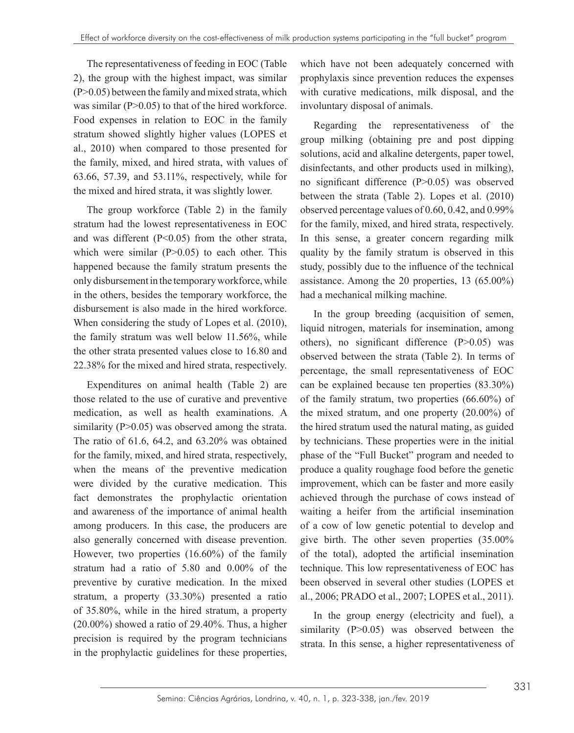The representativeness of feeding in EOC (Table 2), the group with the highest impact, was similar (P>0.05) between the family and mixed strata, which was similar  $(P>0.05)$  to that of the hired workforce. Food expenses in relation to EOC in the family stratum showed slightly higher values (LOPES et al., 2010) when compared to those presented for the family, mixed, and hired strata, with values of 63.66, 57.39, and 53.11%, respectively, while for the mixed and hired strata, it was slightly lower.

The group workforce (Table 2) in the family stratum had the lowest representativeness in EOC and was different  $(P<0.05)$  from the other strata, which were similar  $(P>0.05)$  to each other. This happened because the family stratum presents the only disbursement in the temporary workforce, while in the others, besides the temporary workforce, the disbursement is also made in the hired workforce. When considering the study of Lopes et al. (2010), the family stratum was well below 11.56%, while the other strata presented values close to 16.80 and 22.38% for the mixed and hired strata, respectively.

Expenditures on animal health (Table 2) are those related to the use of curative and preventive medication, as well as health examinations. A similarity  $(P>0.05)$  was observed among the strata. The ratio of 61.6, 64.2, and 63.20% was obtained for the family, mixed, and hired strata, respectively, when the means of the preventive medication were divided by the curative medication. This fact demonstrates the prophylactic orientation and awareness of the importance of animal health among producers. In this case, the producers are also generally concerned with disease prevention. However, two properties (16.60%) of the family stratum had a ratio of 5.80 and 0.00% of the preventive by curative medication. In the mixed stratum, a property (33.30%) presented a ratio of 35.80%, while in the hired stratum, a property  $(20.00\%)$  showed a ratio of 29.40%. Thus, a higher precision is required by the program technicians in the prophylactic guidelines for these properties, which have not been adequately concerned with prophylaxis since prevention reduces the expenses with curative medications, milk disposal, and the involuntary disposal of animals.

Regarding the representativeness of the group milking (obtaining pre and post dipping solutions, acid and alkaline detergents, paper towel, disinfectants, and other products used in milking), no significant difference (P>0.05) was observed between the strata (Table 2). Lopes et al. (2010) observed percentage values of 0.60, 0.42, and 0.99% for the family, mixed, and hired strata, respectively. In this sense, a greater concern regarding milk quality by the family stratum is observed in this study, possibly due to the influence of the technical assistance. Among the 20 properties, 13 (65.00%) had a mechanical milking machine.

In the group breeding (acquisition of semen, liquid nitrogen, materials for insemination, among others), no significant difference (P>0.05) was observed between the strata (Table 2). In terms of percentage, the small representativeness of EOC can be explained because ten properties (83.30%) of the family stratum, two properties (66.60%) of the mixed stratum, and one property (20.00%) of the hired stratum used the natural mating, as guided by technicians. These properties were in the initial phase of the "Full Bucket" program and needed to produce a quality roughage food before the genetic improvement, which can be faster and more easily achieved through the purchase of cows instead of waiting a heifer from the artificial insemination of a cow of low genetic potential to develop and give birth. The other seven properties (35.00% of the total), adopted the artificial insemination technique. This low representativeness of EOC has been observed in several other studies (LOPES et al., 2006; PRADO et al., 2007; LOPES et al., 2011).

In the group energy (electricity and fuel), a similarity (P>0.05) was observed between the strata. In this sense, a higher representativeness of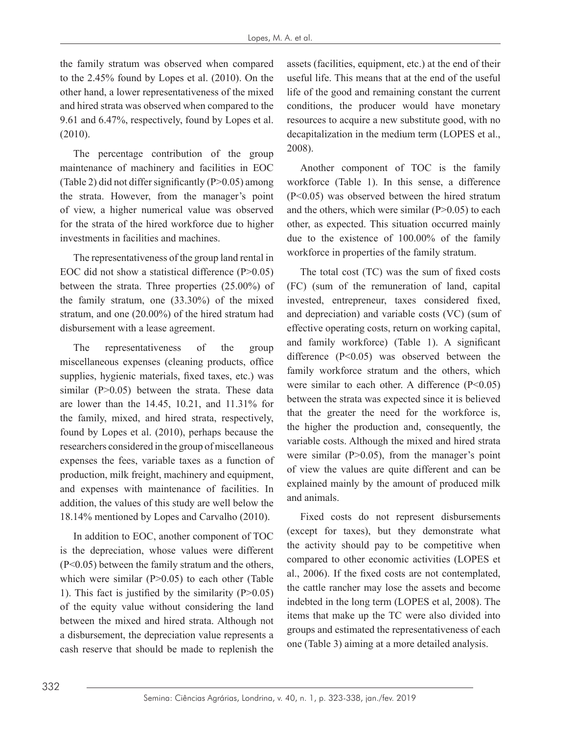the family stratum was observed when compared to the 2.45% found by Lopes et al. (2010). On the other hand, a lower representativeness of the mixed and hired strata was observed when compared to the 9.61 and 6.47%, respectively, found by Lopes et al.  $(2010)$ .

The percentage contribution of the group maintenance of machinery and facilities in EOC (Table 2) did not differ significantly  $(P>0.05)$  among the strata. However, from the manager's point of view, a higher numerical value was observed for the strata of the hired workforce due to higher investments in facilities and machines.

The representativeness of the group land rental in EOC did not show a statistical difference  $(P>0.05)$ between the strata. Three properties (25.00%) of the family stratum, one (33.30%) of the mixed stratum, and one (20.00%) of the hired stratum had disbursement with a lease agreement.

The representativeness of the group miscellaneous expenses (cleaning products, office supplies, hygienic materials, fixed taxes, etc.) was similar (P>0.05) between the strata. These data are lower than the 14.45, 10.21, and 11.31% for the family, mixed, and hired strata, respectively, found by Lopes et al. (2010), perhaps because the researchers considered in the group of miscellaneous expenses the fees, variable taxes as a function of production, milk freight, machinery and equipment, and expenses with maintenance of facilities. In addition, the values of this study are well below the 18.14% mentioned by Lopes and Carvalho (2010).

In addition to EOC, another component of TOC is the depreciation, whose values were different (P<0.05) between the family stratum and the others, which were similar  $(P>0.05)$  to each other (Table 1). This fact is justified by the similarity  $(P>0.05)$ of the equity value without considering the land between the mixed and hired strata. Although not a disbursement, the depreciation value represents a cash reserve that should be made to replenish the

assets (facilities, equipment, etc.) at the end of their useful life. This means that at the end of the useful life of the good and remaining constant the current conditions, the producer would have monetary resources to acquire a new substitute good, with no decapitalization in the medium term (LOPES et al., 2008).

Another component of TOC is the family workforce (Table 1). In this sense, a difference (P<0.05) was observed between the hired stratum and the others, which were similar  $(P>0.05)$  to each other, as expected. This situation occurred mainly due to the existence of 100.00% of the family workforce in properties of the family stratum.

The total cost (TC) was the sum of fixed costs (FC) (sum of the remuneration of land, capital invested, entrepreneur, taxes considered fixed, and depreciation) and variable costs (VC) (sum of effective operating costs, return on working capital, and family workforce) (Table 1). A significant difference (P<0.05) was observed between the family workforce stratum and the others, which were similar to each other. A difference (P<0.05) between the strata was expected since it is believed that the greater the need for the workforce is, the higher the production and, consequently, the variable costs. Although the mixed and hired strata were similar  $(P>0.05)$ , from the manager's point of view the values are quite different and can be explained mainly by the amount of produced milk and animals.

Fixed costs do not represent disbursements (except for taxes), but they demonstrate what the activity should pay to be competitive when compared to other economic activities (LOPES et al., 2006). If the fixed costs are not contemplated, the cattle rancher may lose the assets and become indebted in the long term (LOPES et al, 2008). The items that make up the TC were also divided into groups and estimated the representativeness of each one (Table 3) aiming at a more detailed analysis.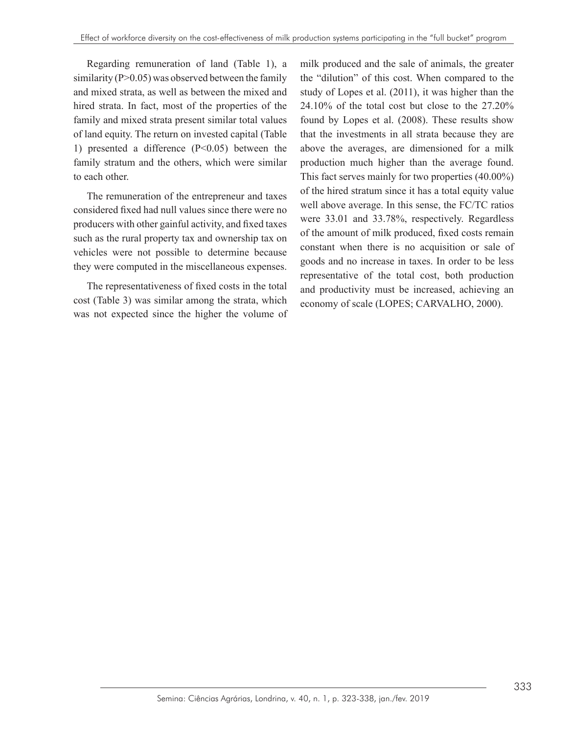Regarding remuneration of land (Table 1), a similarity ( $P > 0.05$ ) was observed between the family and mixed strata, as well as between the mixed and hired strata. In fact, most of the properties of the family and mixed strata present similar total values of land equity. The return on invested capital (Table 1) presented a difference (P<0.05) between the family stratum and the others, which were similar to each other.

The remuneration of the entrepreneur and taxes considered fixed had null values since there were no producers with other gainful activity, and fixed taxes such as the rural property tax and ownership tax on vehicles were not possible to determine because they were computed in the miscellaneous expenses.

The representativeness of fixed costs in the total cost (Table 3) was similar among the strata, which was not expected since the higher the volume of milk produced and the sale of animals, the greater the "dilution" of this cost. When compared to the study of Lopes et al. (2011), it was higher than the 24.10% of the total cost but close to the 27.20% found by Lopes et al. (2008). These results show that the investments in all strata because they are above the averages, are dimensioned for a milk production much higher than the average found. This fact serves mainly for two properties (40.00%) of the hired stratum since it has a total equity value well above average. In this sense, the FC/TC ratios were 33.01 and 33.78%, respectively. Regardless of the amount of milk produced, fixed costs remain constant when there is no acquisition or sale of goods and no increase in taxes. In order to be less representative of the total cost, both production and productivity must be increased, achieving an economy of scale (LOPES; CARVALHO, 2000).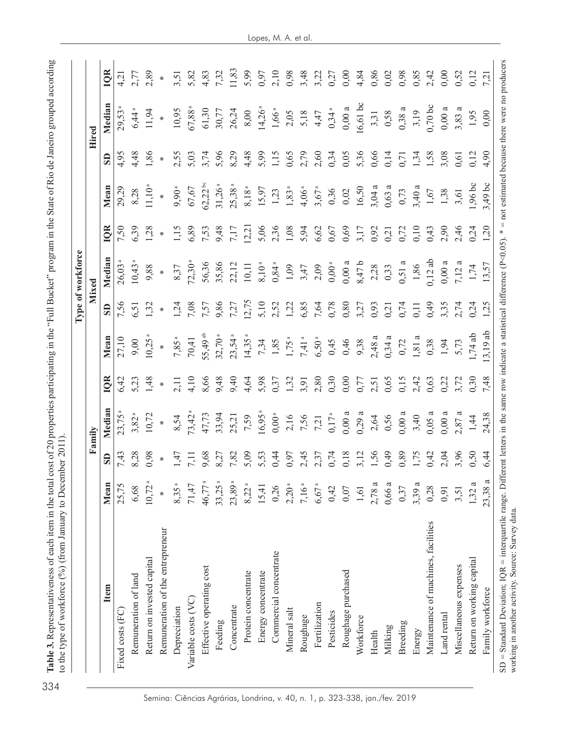| ļ<br>:<br>J<br>そくらっこう<br>חומי יות ל                                                                                                                                                                     |                                                     |
|---------------------------------------------------------------------------------------------------------------------------------------------------------------------------------------------------------|-----------------------------------------------------|
| i<br>Si<br>ï<br>$\begin{bmatrix} 1 & 1 & 1 \\ 1 & 1 & 1 \\ 1 & 1 & 1 \end{bmatrix}$<br>ミナート・<br>;<br>$\ddotsc$<br>֖֧֧ׅ֧ׅ֧֚֚֚֚֚֚֚֚֚֚֚֚֚֚֚֚֚֚֚֚֚֚֚֚֚֚֬֝֓֡֝֬֜֓<br>Š<br>$\frac{1}{2}$<br>$\frac{1}{2}$<br>ļ | l<br>l<br>ĭ<br>i<br>م اليام<br>مراجع<br>ţ<br>I<br>I |
| ،<br>تا<br>$\frac{1}{1}$<br>ļ                                                                                                                                                                           | $\overline{\phantom{a}}$                            |

|                                                                                                                                                                                                                                          |                   |                         | Family                                                                                                                                                                                                                                                                                                      |                              |                                                                                                                                                                                                                                                |                                                     | Type of workforce<br>Mixed |                  |                                                                                                                                                                                                                                                                                        |                                                                                        | <b>Hired</b>                                                                                       |                                                |
|------------------------------------------------------------------------------------------------------------------------------------------------------------------------------------------------------------------------------------------|-------------------|-------------------------|-------------------------------------------------------------------------------------------------------------------------------------------------------------------------------------------------------------------------------------------------------------------------------------------------------------|------------------------------|------------------------------------------------------------------------------------------------------------------------------------------------------------------------------------------------------------------------------------------------|-----------------------------------------------------|----------------------------|------------------|----------------------------------------------------------------------------------------------------------------------------------------------------------------------------------------------------------------------------------------------------------------------------------------|----------------------------------------------------------------------------------------|----------------------------------------------------------------------------------------------------|------------------------------------------------|
| Item                                                                                                                                                                                                                                     | Mean              | $\overline{\mathbf{S}}$ | Median                                                                                                                                                                                                                                                                                                      | $\tilde{Q}$                  | Mean                                                                                                                                                                                                                                           | $\overline{\mathbf{S}}$                             | Median                     | IQR              | Mean                                                                                                                                                                                                                                                                                   | $\overline{\mathbf{S}}$                                                                | Median                                                                                             | IQR                                            |
| Fixed costs (FC)                                                                                                                                                                                                                         | 25,75             | 7,43                    | 23,75                                                                                                                                                                                                                                                                                                       | 5,42                         | 27,10                                                                                                                                                                                                                                          | 7,56                                                | 26,03                      | 7,50             | 29,29                                                                                                                                                                                                                                                                                  | 4,95                                                                                   | $29,53^{\circ}$                                                                                    | 4,21                                           |
| Remuneration of land                                                                                                                                                                                                                     | 6,68              | 8,28                    | $3,82^{\degree}$                                                                                                                                                                                                                                                                                            | 5,23                         | 9,00                                                                                                                                                                                                                                           | 5,51                                                | 10,43                      | 6,39             |                                                                                                                                                                                                                                                                                        | 4,48                                                                                   | $6,44$ <sup>a</sup>                                                                                |                                                |
| Return on invested capital                                                                                                                                                                                                               | $10,72^{\rm a}$   | 0,98                    | 10,72                                                                                                                                                                                                                                                                                                       | $\frac{4}{3}$ *              | 10,25                                                                                                                                                                                                                                          | $\dot{32}$                                          | 9,88                       | $\frac{28}{1}$ * | $\begin{array}{c} 8,28 \\ 1,10 \end{array}$                                                                                                                                                                                                                                            | 1,86                                                                                   | 11,94                                                                                              | $^{9,89}$                                      |
| Remuneration of the entrepreneur                                                                                                                                                                                                         | ¥                 | $\ast$                  |                                                                                                                                                                                                                                                                                                             |                              | $\ast$                                                                                                                                                                                                                                         | $\ast$                                              |                            |                  |                                                                                                                                                                                                                                                                                        | $\ast$                                                                                 |                                                                                                    |                                                |
| Depreciation                                                                                                                                                                                                                             | $8,35^{\rm a}$    | 1,47                    |                                                                                                                                                                                                                                                                                                             | 2,11                         |                                                                                                                                                                                                                                                | 1,24                                                |                            |                  |                                                                                                                                                                                                                                                                                        | 2,55                                                                                   | 10,95                                                                                              | 3,51                                           |
| Variable costs (VC)                                                                                                                                                                                                                      | 71,47             | 7,11                    |                                                                                                                                                                                                                                                                                                             | 4,10                         | $7,85^{\circ}$<br>70,41                                                                                                                                                                                                                        |                                                     | $\frac{8,37}{72,30}$       |                  |                                                                                                                                                                                                                                                                                        | 5,03                                                                                   | $67,88^{\circ}$                                                                                    | 5,82                                           |
| Effective operating cost                                                                                                                                                                                                                 | $46,77^{\rm a}$   |                         |                                                                                                                                                                                                                                                                                                             | 8,66                         |                                                                                                                                                                                                                                                |                                                     |                            |                  |                                                                                                                                                                                                                                                                                        | 3,74                                                                                   |                                                                                                    | 4,83                                           |
| Feeding                                                                                                                                                                                                                                  | $33,25^a$         | 9,68<br>8.27            |                                                                                                                                                                                                                                                                                                             |                              |                                                                                                                                                                                                                                                |                                                     |                            |                  |                                                                                                                                                                                                                                                                                        |                                                                                        |                                                                                                    | 7,32                                           |
| Concentrate                                                                                                                                                                                                                              | $23,89^{\rm a}$   | 7,82                    |                                                                                                                                                                                                                                                                                                             | 9,40                         |                                                                                                                                                                                                                                                | $7,57$<br>$7,57$<br>$7,57$<br>$7,27$<br>$12,75$     |                            |                  |                                                                                                                                                                                                                                                                                        | 5,29                                                                                   |                                                                                                    | 1,83                                           |
| Protein concentrate                                                                                                                                                                                                                      | $8,22^{\rm a}$    |                         |                                                                                                                                                                                                                                                                                                             |                              |                                                                                                                                                                                                                                                |                                                     |                            |                  |                                                                                                                                                                                                                                                                                        |                                                                                        |                                                                                                    | 5,99                                           |
| Energy concentrate                                                                                                                                                                                                                       | 15,41             | 5,53                    |                                                                                                                                                                                                                                                                                                             | $4,64$<br>5,98<br>0,37       |                                                                                                                                                                                                                                                | 5,10                                                |                            |                  |                                                                                                                                                                                                                                                                                        |                                                                                        |                                                                                                    | 97                                             |
| Commercial concentrate                                                                                                                                                                                                                   | 0,26              | 0,44                    |                                                                                                                                                                                                                                                                                                             |                              |                                                                                                                                                                                                                                                | 2,52                                                |                            |                  |                                                                                                                                                                                                                                                                                        |                                                                                        |                                                                                                    |                                                |
| Mineral salt                                                                                                                                                                                                                             | $2,20^{\rm a}$    | 0,97                    |                                                                                                                                                                                                                                                                                                             |                              |                                                                                                                                                                                                                                                | 1,22                                                |                            |                  |                                                                                                                                                                                                                                                                                        | $4,48$<br>5,99<br>1,15<br>0,65                                                         |                                                                                                    |                                                |
| Roughage                                                                                                                                                                                                                                 | 7,16 <sup>a</sup> | 2,45                    |                                                                                                                                                                                                                                                                                                             | 1,3,91                       |                                                                                                                                                                                                                                                |                                                     |                            |                  |                                                                                                                                                                                                                                                                                        | 2,79                                                                                   |                                                                                                    | 2,10<br>0,98<br>0,27<br>0,00 4,00<br>4,00 4,00 |
| Fertilization                                                                                                                                                                                                                            | $6,67^{\rm a}$    | 2,37                    |                                                                                                                                                                                                                                                                                                             | 2,80                         |                                                                                                                                                                                                                                                |                                                     |                            |                  |                                                                                                                                                                                                                                                                                        | 2,60                                                                                   |                                                                                                    |                                                |
| Pesticides                                                                                                                                                                                                                               | 0,42              | 0,74                    |                                                                                                                                                                                                                                                                                                             |                              |                                                                                                                                                                                                                                                |                                                     |                            |                  |                                                                                                                                                                                                                                                                                        |                                                                                        |                                                                                                    |                                                |
| Roughage purchased                                                                                                                                                                                                                       | 0,07              | 0,18                    |                                                                                                                                                                                                                                                                                                             | 0,300                        |                                                                                                                                                                                                                                                |                                                     |                            |                  |                                                                                                                                                                                                                                                                                        |                                                                                        |                                                                                                    |                                                |
| Workforce                                                                                                                                                                                                                                | 1,61              |                         | $8.54$ $7.7$ $7.3$ $8.5$<br>$7.7$ $7.3$ $7.5$<br>$8.5$<br>$9.5$ $9.5$<br>$10.5$<br>$15.5$<br>$15.5$<br>$17.5$<br>$17.5$<br>$17.5$<br>$17.5$<br>$17.5$<br>$17.5$<br>$17.5$<br>$17.5$<br>$17.5$<br>$17.5$<br>$17.5$<br>$17.5$<br>$17.5$<br>$17.5$<br>$17.5$<br>$17.5$<br>$17.5$<br>$17.5$<br>$17.5$<br>$17.5$ |                              | $55,49$<br>$32,70$<br>$75,54$<br>$75,34$<br>$75,75$<br>$75,74$<br>$75,75$<br>$75,74$<br>$75,75$<br>$75,75$<br>$75,75$<br>$75,75$<br>$75,75$<br>$75,75$<br>$75,75$<br>$75,75$<br>$75,75$<br>$75,75$<br>$75,75$<br>$75,75$<br>$75,75$<br>$75,75$ | 6<br>6 7 8 9 0 1 0 1 1 1 9<br>6 7 8 9 0 1 0 1 1 1 9 |                            |                  | 9,90 $\degree$<br>67,67<br>62,22 $\degree$ 6,57<br>62,22 $\degree$ 6,57<br>62,22 $\degree$ 6,57<br>63,49 $\degree$<br>1,57<br>1,90 $\degree$ 6,57<br>1,90 $\degree$ 6,57<br>1,90 $\degree$ 6,57<br>1,90 $\degree$ 6,57<br>1,90 $\degree$ 6,57<br>1,90 $\degree$ 6,57<br>1,59 $\degree$ | $3,34$<br>$3,56$<br>$5,36$<br>$5,71$<br>$5,88$<br>$5,80$<br>$5,71$<br>$5,88$<br>$5,61$ | 61,30<br>30,77<br>26,90<br>8,00<br>4,47<br>4,47<br>4,47<br>4,47<br>6,50<br>6,30<br>6,30<br>6,70 bc |                                                |
| Health                                                                                                                                                                                                                                   | $2,78$ a          | $3,12$<br>$1,56$        |                                                                                                                                                                                                                                                                                                             | 0,77<br>2,51<br>0,65<br>0,15 |                                                                                                                                                                                                                                                |                                                     |                            |                  |                                                                                                                                                                                                                                                                                        |                                                                                        |                                                                                                    |                                                |
| Milking                                                                                                                                                                                                                                  | $0,66\ a$         | 0,49                    |                                                                                                                                                                                                                                                                                                             |                              |                                                                                                                                                                                                                                                |                                                     |                            |                  |                                                                                                                                                                                                                                                                                        |                                                                                        |                                                                                                    | 0.86<br>0.98<br>0.84<br>0.42                   |
| Breeding                                                                                                                                                                                                                                 | 0,37              | 0,89                    |                                                                                                                                                                                                                                                                                                             |                              |                                                                                                                                                                                                                                                |                                                     |                            |                  |                                                                                                                                                                                                                                                                                        |                                                                                        |                                                                                                    |                                                |
| Energy                                                                                                                                                                                                                                   | 3,39 a            | 1,75                    |                                                                                                                                                                                                                                                                                                             | $2^{1}$                      |                                                                                                                                                                                                                                                |                                                     |                            |                  |                                                                                                                                                                                                                                                                                        |                                                                                        |                                                                                                    |                                                |
| Maintenance of machines, facilities                                                                                                                                                                                                      | 0,28              | 0,42                    |                                                                                                                                                                                                                                                                                                             | 0,63                         |                                                                                                                                                                                                                                                |                                                     |                            |                  |                                                                                                                                                                                                                                                                                        |                                                                                        |                                                                                                    |                                                |
| Land rental                                                                                                                                                                                                                              | 0,91              | 2,04                    |                                                                                                                                                                                                                                                                                                             | 0,22                         |                                                                                                                                                                                                                                                |                                                     |                            |                  |                                                                                                                                                                                                                                                                                        |                                                                                        |                                                                                                    | 0,00                                           |
| Miscellaneous expenses                                                                                                                                                                                                                   | 3,51              | 3,96                    |                                                                                                                                                                                                                                                                                                             | 3,72                         |                                                                                                                                                                                                                                                | 3.374                                               |                            |                  |                                                                                                                                                                                                                                                                                        |                                                                                        | $0,00$ a<br>3,83 a<br>1,95<br>1,95                                                                 |                                                |
| Return on working capital                                                                                                                                                                                                                | $1,32$ a          | 0,50                    |                                                                                                                                                                                                                                                                                                             | 0,30                         |                                                                                                                                                                                                                                                | 0,24                                                |                            |                  |                                                                                                                                                                                                                                                                                        | 2,12                                                                                   |                                                                                                    | $^{12}$                                        |
| Family workforce                                                                                                                                                                                                                         | 23,38a            | 6,44                    | 24,38                                                                                                                                                                                                                                                                                                       | 7,48                         | 3,19 ab                                                                                                                                                                                                                                        | 1,25                                                |                            | 1,20             |                                                                                                                                                                                                                                                                                        | 4,90                                                                                   |                                                                                                    | 7,21                                           |
| SD = Standard Deviation; IQR = interquartile range. Different letters in the same row indicate a statistical difference (P<0.05). * = not estimated because there were no producers<br>working in another activity. Source: Survey data. |                   |                         |                                                                                                                                                                                                                                                                                                             |                              |                                                                                                                                                                                                                                                |                                                     |                            |                  |                                                                                                                                                                                                                                                                                        |                                                                                        |                                                                                                    |                                                |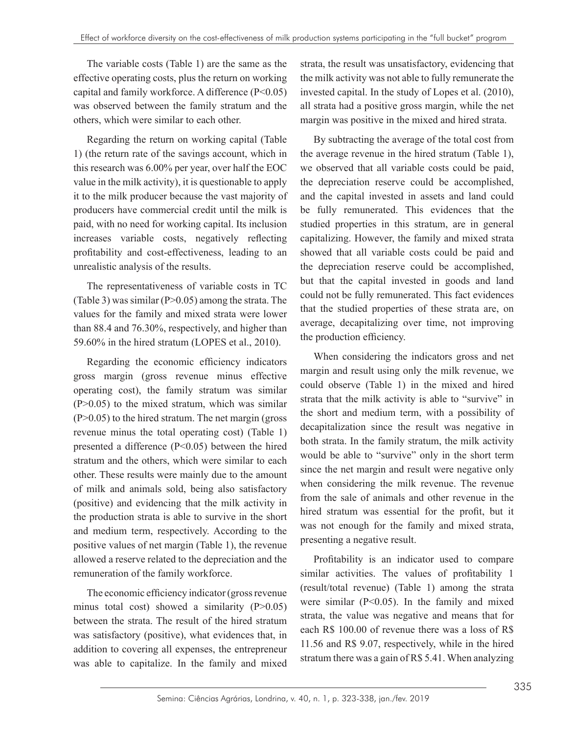The variable costs (Table 1) are the same as the effective operating costs, plus the return on working capital and family workforce. A difference  $(P<0.05)$ was observed between the family stratum and the others, which were similar to each other.

Regarding the return on working capital (Table 1) (the return rate of the savings account, which in this research was 6.00% per year, over half the EOC value in the milk activity), it is questionable to apply it to the milk producer because the vast majority of producers have commercial credit until the milk is paid, with no need for working capital. Its inclusion increases variable costs, negatively reflecting profitability and cost-effectiveness, leading to an unrealistic analysis of the results.

The representativeness of variable costs in TC (Table 3) was similar ( $P > 0.05$ ) among the strata. The values for the family and mixed strata were lower than 88.4 and 76.30%, respectively, and higher than 59.60% in the hired stratum (LOPES et al., 2010).

Regarding the economic efficiency indicators gross margin (gross revenue minus effective operating cost), the family stratum was similar  $(P>0.05)$  to the mixed stratum, which was similar (P>0.05) to the hired stratum. The net margin (gross revenue minus the total operating cost) (Table 1) presented a difference  $(P<0.05)$  between the hired stratum and the others, which were similar to each other. These results were mainly due to the amount of milk and animals sold, being also satisfactory (positive) and evidencing that the milk activity in the production strata is able to survive in the short and medium term, respectively. According to the positive values of net margin (Table 1), the revenue allowed a reserve related to the depreciation and the remuneration of the family workforce.

The economic efficiency indicator (gross revenue minus total cost) showed a similarity  $(P>0.05)$ between the strata. The result of the hired stratum was satisfactory (positive), what evidences that, in addition to covering all expenses, the entrepreneur was able to capitalize. In the family and mixed strata, the result was unsatisfactory, evidencing that the milk activity was not able to fully remunerate the invested capital. In the study of Lopes et al. (2010), all strata had a positive gross margin, while the net margin was positive in the mixed and hired strata.

By subtracting the average of the total cost from the average revenue in the hired stratum (Table 1), we observed that all variable costs could be paid, the depreciation reserve could be accomplished, and the capital invested in assets and land could be fully remunerated. This evidences that the studied properties in this stratum, are in general capitalizing. However, the family and mixed strata showed that all variable costs could be paid and the depreciation reserve could be accomplished, but that the capital invested in goods and land could not be fully remunerated. This fact evidences that the studied properties of these strata are, on average, decapitalizing over time, not improving the production efficiency.

When considering the indicators gross and net margin and result using only the milk revenue, we could observe (Table 1) in the mixed and hired strata that the milk activity is able to "survive" in the short and medium term, with a possibility of decapitalization since the result was negative in both strata. In the family stratum, the milk activity would be able to "survive" only in the short term since the net margin and result were negative only when considering the milk revenue. The revenue from the sale of animals and other revenue in the hired stratum was essential for the profit, but it was not enough for the family and mixed strata, presenting a negative result.

Profitability is an indicator used to compare similar activities. The values of profitability 1 (result/total revenue) (Table 1) among the strata were similar  $(P<0.05)$ . In the family and mixed strata, the value was negative and means that for each R\$ 100.00 of revenue there was a loss of R\$ 11.56 and R\$ 9.07, respectively, while in the hired stratum there was a gain of R\$ 5.41. When analyzing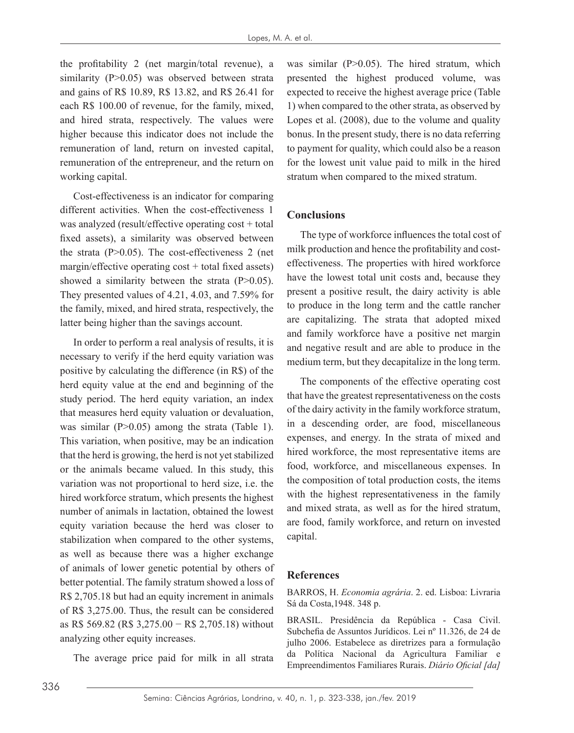the profitability 2 (net margin/total revenue), a similarity (P>0.05) was observed between strata and gains of R\$ 10.89, R\$ 13.82, and R\$ 26.41 for each R\$ 100.00 of revenue, for the family, mixed, and hired strata, respectively. The values were higher because this indicator does not include the remuneration of land, return on invested capital, remuneration of the entrepreneur, and the return on working capital.

Cost-effectiveness is an indicator for comparing different activities. When the cost-effectiveness 1 was analyzed (result/effective operating cost + total fixed assets), a similarity was observed between the strata (P>0.05). The cost-effectiveness 2 (net margin/effective operating  $cost + total$  fixed assets) showed a similarity between the strata  $(P>0.05)$ . They presented values of 4.21, 4.03, and 7.59% for the family, mixed, and hired strata, respectively, the latter being higher than the savings account.

In order to perform a real analysis of results, it is necessary to verify if the herd equity variation was positive by calculating the difference (in R\$) of the herd equity value at the end and beginning of the study period. The herd equity variation, an index that measures herd equity valuation or devaluation, was similar (P>0.05) among the strata (Table 1). This variation, when positive, may be an indication that the herd is growing, the herd is not yet stabilized or the animals became valued. In this study, this variation was not proportional to herd size, i.e. the hired workforce stratum, which presents the highest number of animals in lactation, obtained the lowest equity variation because the herd was closer to stabilization when compared to the other systems, as well as because there was a higher exchange of animals of lower genetic potential by others of better potential. The family stratum showed a loss of R\$ 2,705.18 but had an equity increment in animals of R\$ 3,275.00. Thus, the result can be considered as R\$ 569.82 (R\$ 3,275.00 − R\$ 2,705.18) without analyzing other equity increases.

The average price paid for milk in all strata

was similar (P>0.05). The hired stratum, which presented the highest produced volume, was expected to receive the highest average price (Table 1) when compared to the other strata, as observed by Lopes et al. (2008), due to the volume and quality bonus. In the present study, there is no data referring to payment for quality, which could also be a reason for the lowest unit value paid to milk in the hired stratum when compared to the mixed stratum.

#### **Conclusions**

The type of workforce influences the total cost of milk production and hence the profitability and costeffectiveness. The properties with hired workforce have the lowest total unit costs and, because they present a positive result, the dairy activity is able to produce in the long term and the cattle rancher are capitalizing. The strata that adopted mixed and family workforce have a positive net margin and negative result and are able to produce in the medium term, but they decapitalize in the long term.

The components of the effective operating cost that have the greatest representativeness on the costs of the dairy activity in the family workforce stratum, in a descending order, are food, miscellaneous expenses, and energy. In the strata of mixed and hired workforce, the most representative items are food, workforce, and miscellaneous expenses. In the composition of total production costs, the items with the highest representativeness in the family and mixed strata, as well as for the hired stratum, are food, family workforce, and return on invested capital.

#### **References**

BARROS, H. *Economia agrária*. 2. ed. Lisboa: Livraria Sá da Costa,1948. 348 p.

BRASIL. Presidência da República - Casa Civil. Subchefia de Assuntos Jurídicos. Lei nº 11.326, de 24 de julho 2006. Estabelece as diretrizes para a formulação da Política Nacional da Agricultura Familiar e Empreendimentos Familiares Rurais. *Diário Oficial [da]*